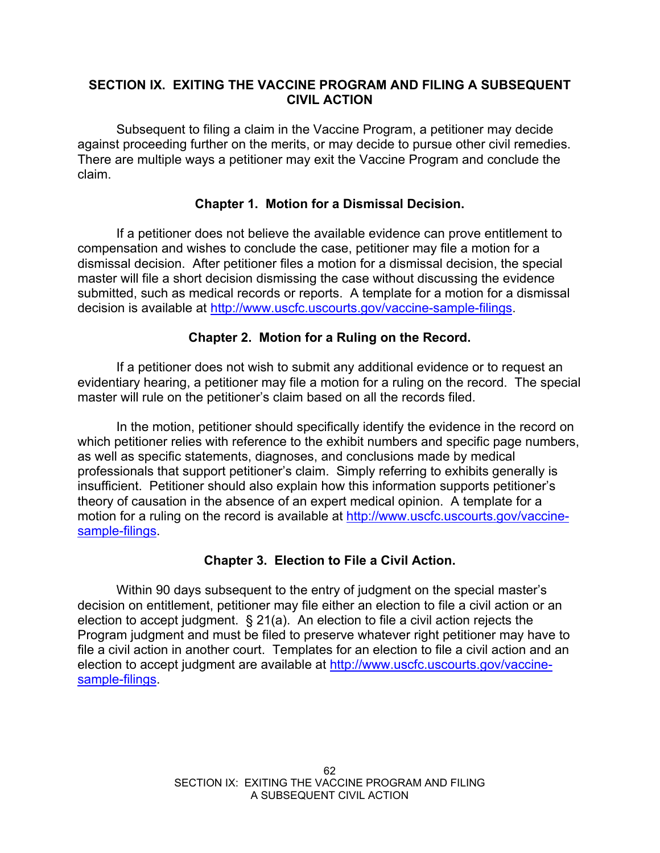#### **SECTION IX. EXITING THE VACCINE PROGRAM AND FILING A SUBSEQUENT CIVIL ACTION**

 Subsequent to filing a claim in the Vaccine Program, a petitioner may decide against proceeding further on the merits, or may decide to pursue other civil remedies. There are multiple ways a petitioner may exit the Vaccine Program and conclude the claim.

### **Chapter 1. Motion for a Dismissal Decision.**

 If a petitioner does not believe the available evidence can prove entitlement to compensation and wishes to conclude the case, petitioner may file a motion for a dismissal decision. After petitioner files a motion for a dismissal decision, the special master will file a short decision dismissing the case without discussing the evidence submitted, such as medical records or reports. A template for a motion for a dismissal decision is available at http://www.uscfc.uscourts.gov/vaccine-sample-filings.

### **Chapter 2. Motion for a Ruling on the Record.**

 If a petitioner does not wish to submit any additional evidence or to request an evidentiary hearing, a petitioner may file a motion for a ruling on the record. The special master will rule on the petitioner's claim based on all the records filed.

 In the motion, petitioner should specifically identify the evidence in the record on which petitioner relies with reference to the exhibit numbers and specific page numbers, as well as specific statements, diagnoses, and conclusions made by medical professionals that support petitioner's claim. Simply referring to exhibits generally is insufficient. Petitioner should also explain how this information supports petitioner's theory of causation in the absence of an expert medical opinion. A template for a motion for a ruling on the record is available at http://www.uscfc.uscourts.gov/vaccinesample-filings.

# **Chapter 3. Election to File a Civil Action.**

 Within 90 days subsequent to the entry of judgment on the special master's decision on entitlement, petitioner may file either an election to file a civil action or an election to accept judgment. § 21(a). An election to file a civil action rejects the Program judgment and must be filed to preserve whatever right petitioner may have to file a civil action in another court. Templates for an election to file a civil action and an election to accept judgment are available at http://www.uscfc.uscourts.gov/vaccinesample-filings.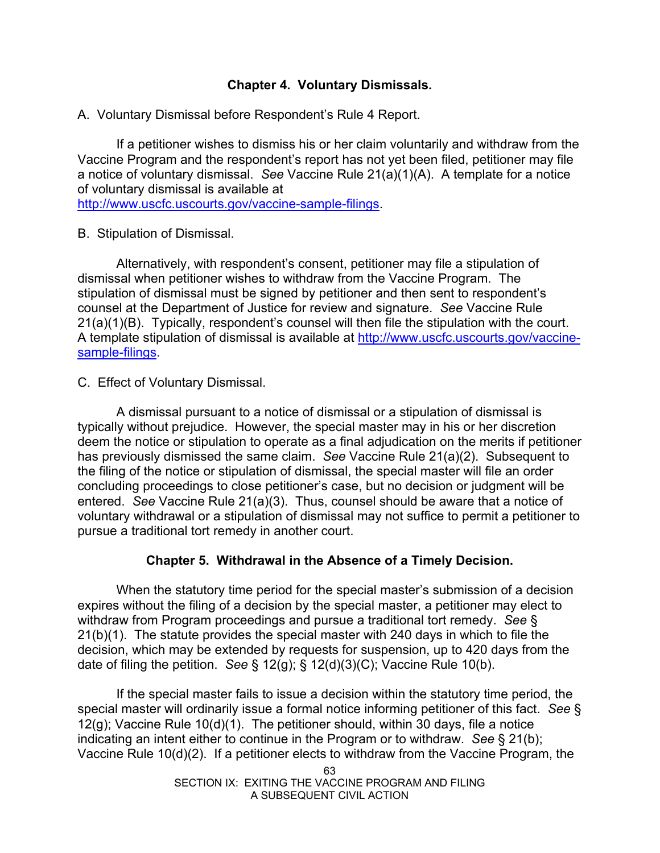### **Chapter 4. Voluntary Dismissals.**

A. Voluntary Dismissal before Respondent's Rule 4 Report.

 If a petitioner wishes to dismiss his or her claim voluntarily and withdraw from the Vaccine Program and the respondent's report has not yet been filed, petitioner may file a notice of voluntary dismissal. *See* Vaccine Rule 21(a)(1)(A). A template for a notice of voluntary dismissal is available at

http://www.uscfc.uscourts.gov/vaccine-sample-filings.

B. Stipulation of Dismissal.

 Alternatively, with respondent's consent, petitioner may file a stipulation of dismissal when petitioner wishes to withdraw from the Vaccine Program. The stipulation of dismissal must be signed by petitioner and then sent to respondent's counsel at the Department of Justice for review and signature. *See* Vaccine Rule 21(a)(1)(B). Typically, respondent's counsel will then file the stipulation with the court. A template stipulation of dismissal is available at http://www.uscfc.uscourts.gov/vaccinesample-filings.

C. Effect of Voluntary Dismissal.

 A dismissal pursuant to a notice of dismissal or a stipulation of dismissal is typically without prejudice. However, the special master may in his or her discretion deem the notice or stipulation to operate as a final adjudication on the merits if petitioner has previously dismissed the same claim. *See* Vaccine Rule 21(a)(2). Subsequent to the filing of the notice or stipulation of dismissal, the special master will file an order concluding proceedings to close petitioner's case, but no decision or judgment will be entered. *See* Vaccine Rule 21(a)(3). Thus, counsel should be aware that a notice of voluntary withdrawal or a stipulation of dismissal may not suffice to permit a petitioner to pursue a traditional tort remedy in another court.

# **Chapter 5. Withdrawal in the Absence of a Timely Decision.**

 When the statutory time period for the special master's submission of a decision expires without the filing of a decision by the special master, a petitioner may elect to withdraw from Program proceedings and pursue a traditional tort remedy. *See* § 21(b)(1). The statute provides the special master with 240 days in which to file the decision, which may be extended by requests for suspension, up to 420 days from the date of filing the petition. *See* § 12(g); § 12(d)(3)(C); Vaccine Rule 10(b).

 If the special master fails to issue a decision within the statutory time period, the special master will ordinarily issue a formal notice informing petitioner of this fact. *See* § 12(g); Vaccine Rule 10(d)(1). The petitioner should, within 30 days, file a notice indicating an intent either to continue in the Program or to withdraw. *See* § 21(b); Vaccine Rule 10(d)(2). If a petitioner elects to withdraw from the Vaccine Program, the

> 63 SECTION IX: EXITING THE VACCINE PROGRAM AND FILING A SUBSEQUENT CIVIL ACTION